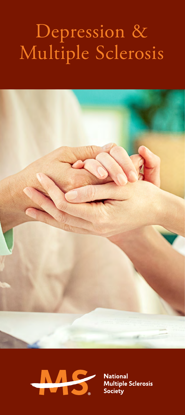# Depression & Multiple Sclerosis





**National** Multiple Sclerosis<br>Society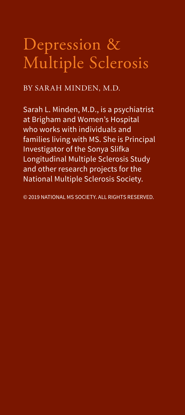## Depression & Multiple Sclerosis

BY SARAH MINDEN, M.D.

Sarah L. Minden, M.D., is a psychiatrist at Brigham and Women's Hospital who works with individuals and families living with MS. She is Principal Investigator of the Sonya Slifka Longitudinal Multiple Sclerosis Study and other research projects for the National Multiple Sclerosis Society.

© 2019 NATIONAL MS SOCIETY. ALL RIGHTS RESERVED.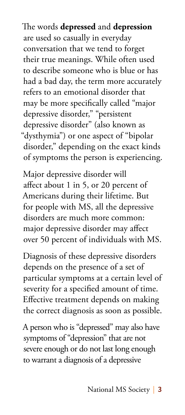The words **depressed** and **depression** are used so casually in everyday conversation that we tend to forget their true meanings. While often used to describe someone who is blue or has had a bad day, the term more accurately refers to an emotional disorder that may be more specifically called "major depressive disorder," "persistent depressive disorder" (also known as "dysthymia") or one aspect of "bipolar disorder," depending on the exact kinds of symptoms the person is experiencing.

Major depressive disorder will affect about 1 in 5, or 20 percent of Americans during their lifetime. But for people with MS, all the depressive disorders are much more common: major depressive disorder may affect over 50 percent of individuals with MS.

Diagnosis of these depressive disorders depends on the presence of a set of particular symptoms at a certain level of severity for a specified amount of time. Effective treatment depends on making the correct diagnosis as soon as possible.

A person who is "depressed" may also have symptoms of "depression" that are not severe enough or do not last long enough to warrant a diagnosis of a depressive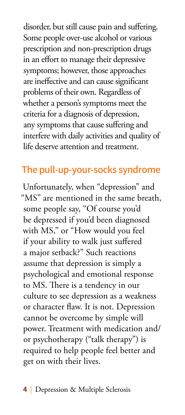disorder, but still cause pain and suffering. Some people over-use alcohol or various prescription and non-prescription drugs in an effort to manage their depressive symptoms; however, those approaches are ineffective and can cause significant problems of their own. Regardless of whether a person's symptoms meet the criteria for a diagnosis of depression, any symptoms that cause suffering and interfere with daily activities and quality of life deserve attention and treatment.

#### **The pull-up-your-socks syndrome**

Unfortunately, when "depression" and "MS" are mentioned in the same breath, some people say, "Of course you'd be depressed if you'd been diagnosed with MS," or "How would you feel if your ability to walk just suffered a major setback?" Such reactions assume that depression is simply a psychological and emotional response to MS. There is a tendency in our culture to see depression as a weakness or character flaw. It is not. Depression cannot be overcome by simple will power. Treatment with medication and/ or psychotherapy ("talk therapy") is required to help people feel better and get on with their lives.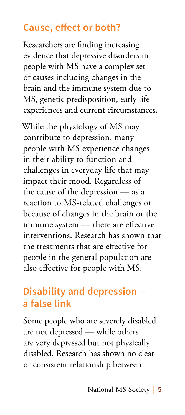#### **Cause, effect or both?**

Researchers are finding increasing evidence that depressive disorders in people with MS have a complex set of causes including changes in the brain and the immune system due to MS, genetic predisposition, early life experiences and current circumstances.

While the physiology of MS may contribute to depression, many people with MS experience changes in their ability to function and challenges in everyday life that may impact their mood. Regardless of the cause of the depression — as a reaction to MS-related challenges or because of changes in the brain or the immune system — there are effective interventions. Research has shown that the treatments that are effective for people in the general population are also effective for people with MS.

#### **Disability and depression a false link**

Some people who are severely disabled are not depressed — while others are very depressed but not physically disabled. Research has shown no clear or consistent relationship between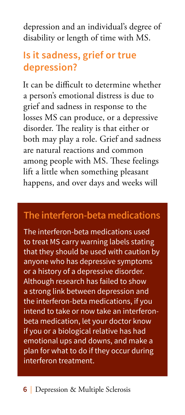depression and an individual's degree of disability or length of time with MS.

#### **Is it sadness, grief or true depression?**

It can be difficult to determine whether a person's emotional distress is due to grief and sadness in response to the losses MS can produce, or a depressive disorder. The reality is that either or both may play a role. Grief and sadness are natural reactions and common among people with MS. These feelings lift a little when something pleasant happens, and over days and weeks will

#### **The interferon-beta medications**

The interferon-beta medications used to treat MS carry warning labels stating that they should be used with caution by anyone who has depressive symptoms or a history of a depressive disorder. Although research has failed to show a strong link between depression and the interferon-beta medications, if you intend to take or now take an interferonbeta medication, let your doctor know if you or a biological relative has had emotional ups and downs, and make a plan for what to do if they occur during interferon treatment.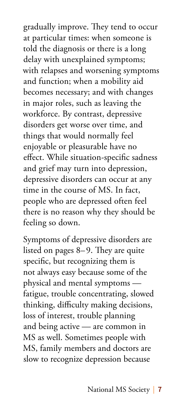gradually improve. They tend to occur at particular times: when someone is told the diagnosis or there is a long delay with unexplained symptoms; with relapses and worsening symptoms and function; when a mobility aid becomes necessary; and with changes in major roles, such as leaving the workforce. By contrast, depressive disorders get worse over time, and things that would normally feel enjoyable or pleasurable have no effect. While situation-specific sadness and grief may turn into depression, depressive disorders can occur at any time in the course of MS. In fact, people who are depressed often feel there is no reason why they should be feeling so down.

Symptoms of depressive disorders are listed on pages 8–9. They are quite specific, but recognizing them is not always easy because some of the physical and mental symptoms fatigue, trouble concentrating, slowed thinking, difficulty making decisions, loss of interest, trouble planning and being active — are common in MS as well. Sometimes people with MS, family members and doctors are slow to recognize depression because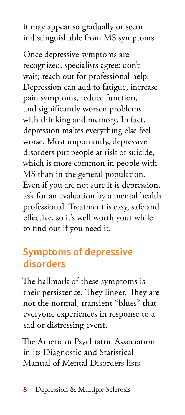it may appear so gradually or seem indistinguishable from MS symptoms.

Once depressive symptoms are recognized, specialists agree: don't wait; reach out for professional help. Depression can add to fatigue, increase pain symptoms, reduce function, and significantly worsen problems with thinking and memory. In fact, depression makes everything else feel worse. Most importantly, depressive disorders put people at risk of suicide, which is more common in people with MS than in the general population. Even if you are not sure it is depression, ask for an evaluation by a mental health professional. Treatment is easy, safe and effective, so it's well worth your while to find out if you need it.

#### **Symptoms of depressive disorders**

The hallmark of these symptoms is their persistence. They linger. They are not the normal, transient "blues" that everyone experiences in response to a sad or distressing event.

The American Psychiatric Association in its Diagnostic and Statistical Manual of Mental Disorders lists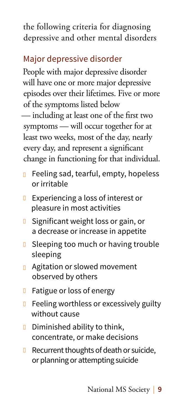the following criteria for diagnosing depressive and other mental disorders

#### Major depressive disorder

People with major depressive disorder will have one or more major depressive episodes over their lifetimes. Five or more of the symptoms listed below

— including at least one of the first two symptoms — will occur together for at least two weeks, most of the day, nearly every day, and represent a significant change in functioning for that individual.

- n Feeling sad, tearful, empty, hopeless or irritable
- **Experiencing a loss of interest or** pleasure in most activities
- **D** Significant weight loss or gain, or a decrease or increase in appetite
- **D** Sleeping too much or having trouble sleeping
- **n** Agitation or slowed movement observed by others
- **n** Fatigue or loss of energy
- **n** Feeling worthless or excessively guilty without cause
- **D** Diminished ability to think, concentrate, or make decisions
- $\Box$  Recurrent thoughts of death or suicide, or planning or attempting suicide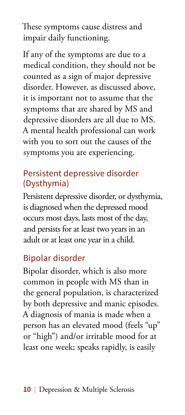These symptoms cause distress and impair daily functioning.

If any of the symptoms are due to a medical condition, they should not be counted as a sign of major depressive disorder. However, as discussed above, it is important not to assume that the symptoms that are shared by MS and depressive disorders are all due to MS. A mental health professional can work with you to sort out the causes of the symptoms you are experiencing.

#### Persistent depressive disorder (Dysthymia)

Persistent depressive disorder, or dysthymia, is diagnosed when the depressed mood occurs most days, lasts most of the day, and persists for at least two years in an adult or at least one year in a child.

#### Bipolar disorder

Bipolar disorder, which is also more common in people with MS than in the general population, is characterized by both depressive and manic episodes. A diagnosis of mania is made when a person has an elevated mood (feels "up" or "high") and/or irritable mood for at least one week; speaks rapidly, is easily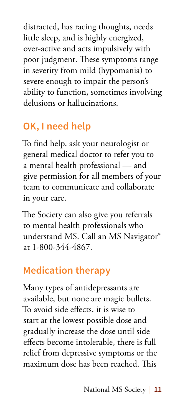distracted, has racing thoughts, needs little sleep, and is highly energized, over-active and acts impulsively with poor judgment. These symptoms range in severity from mild (hypomania) to severe enough to impair the person's ability to function, sometimes involving delusions or hallucinations.

## **OK, I need help**

To find help, ask your neurologist or general medical doctor to refer you to a mental health professional — and give permission for all members of your team to communicate and collaborate in your care.

The Society can also give you referrals to mental health professionals who understand MS. Call an MS Navigator® at 1-800-344-4867.

#### **Medication therapy**

Many types of antidepressants are available, but none are magic bullets. To avoid side effects, it is wise to start at the lowest possible dose and gradually increase the dose until side effects become intolerable, there is full relief from depressive symptoms or the maximum dose has been reached. This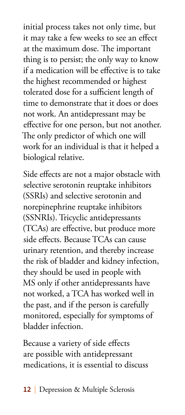initial process takes not only time, but it may take a few weeks to see an effect at the maximum dose. The important thing is to persist; the only way to know if a medication will be effective is to take the highest recommended or highest tolerated dose for a sufficient length of time to demonstrate that it does or does not work. An antidepressant may be effective for one person, but not another. The only predictor of which one will work for an individual is that it helped a biological relative.

Side effects are not a major obstacle with selective serotonin reuptake inhibitors (SSRIs) and selective serotonin and norepinephrine reuptake inhibitors (SSNRIs). Tricyclic antidepressants (TCAs) are effective, but produce more side effects. Because TCAs can cause urinary retention, and thereby increase the risk of bladder and kidney infection, they should be used in people with MS only if other antidepressants have not worked, a TCA has worked well in the past, and if the person is carefully monitored, especially for symptoms of bladder infection.

Because a variety of side effects are possible with antidepressant medications, it is essential to discuss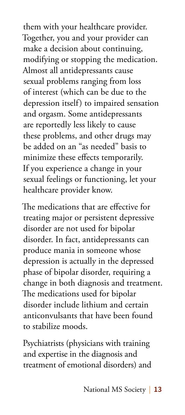them with your healthcare provider. Together, you and your provider can make a decision about continuing, modifying or stopping the medication. Almost all antidepressants cause sexual problems ranging from loss of interest (which can be due to the depression itself) to impaired sensation and orgasm. Some antidepressants are reportedly less likely to cause these problems, and other drugs may be added on an "as needed" basis to minimize these effects temporarily. If you experience a change in your sexual feelings or functioning, let your healthcare provider know.

The medications that are effective for treating major or persistent depressive disorder are not used for bipolar disorder. In fact, antidepressants can produce mania in someone whose depression is actually in the depressed phase of bipolar disorder, requiring a change in both diagnosis and treatment. The medications used for bipolar disorder include lithium and certain anticonvulsants that have been found to stabilize moods.

Psychiatrists (physicians with training and expertise in the diagnosis and treatment of emotional disorders) and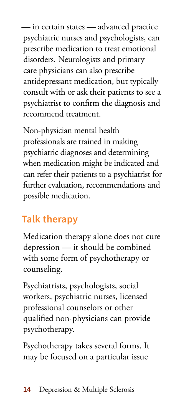— in certain states — advanced practice psychiatric nurses and psychologists, can prescribe medication to treat emotional disorders. Neurologists and primary care physicians can also prescribe antidepressant medication, but typically consult with or ask their patients to see a psychiatrist to confirm the diagnosis and recommend treatment.

Non-physician mental health professionals are trained in making psychiatric diagnoses and determining when medication might be indicated and can refer their patients to a psychiatrist for further evaluation, recommendations and possible medication.

## **Talk therapy**

Medication therapy alone does not cure depression — it should be combined with some form of psychotherapy or counseling.

Psychiatrists, psychologists, social workers, psychiatric nurses, licensed professional counselors or other qualified non-physicians can provide psychotherapy.

Psychotherapy takes several forms. It may be focused on a particular issue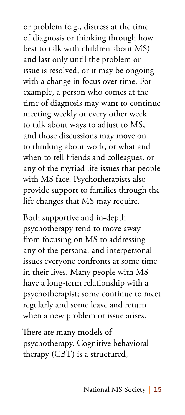or problem (e.g., distress at the time of diagnosis or thinking through how best to talk with children about MS) and last only until the problem or issue is resolved, or it may be ongoing with a change in focus over time. For example, a person who comes at the time of diagnosis may want to continue meeting weekly or every other week to talk about ways to adjust to MS, and those discussions may move on to thinking about work, or what and when to tell friends and colleagues, or any of the myriad life issues that people with MS face. Psychotherapists also provide support to families through the life changes that MS may require.

Both supportive and in-depth psychotherapy tend to move away from focusing on MS to addressing any of the personal and interpersonal issues everyone confronts at some time in their lives. Many people with MS have a long-term relationship with a psychotherapist; some continue to meet regularly and some leave and return when a new problem or issue arises.

There are many models of psychotherapy. Cognitive behavioral therapy (CBT) is a structured,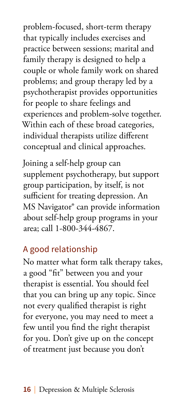problem-focused, short-term therapy that typically includes exercises and practice between sessions; marital and family therapy is designed to help a couple or whole family work on shared problems; and group therapy led by a psychotherapist provides opportunities for people to share feelings and experiences and problem-solve together. Within each of these broad categories, individual therapists utilize different conceptual and clinical approaches.

Joining a self-help group can supplement psychotherapy, but support group participation, by itself, is not sufficient for treating depression. An MS Navigator® can provide information about self-help group programs in your area; call 1-800-344-4867.

#### A good relationship

No matter what form talk therapy takes, a good "fit" between you and your therapist is essential. You should feel that you can bring up any topic. Since not every qualified therapist is right for everyone, you may need to meet a few until you find the right therapist for you. Don't give up on the concept of treatment just because you don't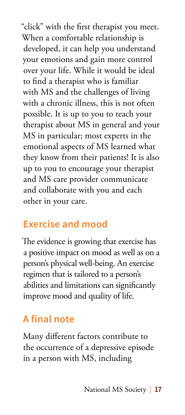"click" with the first therapist you meet. When a comfortable relationship is developed, it can help you understand your emotions and gain more control over your life. While it would be ideal to find a therapist who is familiar with MS and the challenges of living with a chronic illness, this is not often possible. It is up to you to teach your therapist about MS in general and your MS in particular; most experts in the emotional aspects of MS learned what they know from their patients! It is also up to you to encourage your therapist and MS care provider communicate and collaborate with you and each other in your care.

#### **Exercise and mood**

The evidence is growing that exercise has a positive impact on mood as well as on a person's physical well-being. An exercise regimen that is tailored to a person's abilities and limitations can significantly improve mood and quality of life.

## **A final note**

Many different factors contribute to the occurrence of a depressive episode in a person with MS, including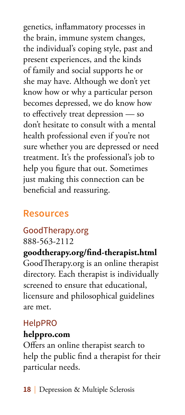genetics, inflammatory processes in the brain, immune system changes, the individual's coping style, past and present experiences, and the kinds of family and social supports he or she may have. Although we don't yet know how or why a particular person becomes depressed, we do know how to effectively treat depression — so don't hesitate to consult with a mental health professional even if you're not sure whether you are depressed or need treatment. It's the professional's job to help you figure that out. Sometimes just making this connection can be beneficial and reassuring.

#### **Resources**

#### GoodTherapy.org

888-563-2112

**goodtherapy.org/find-therapist.html** GoodTherapy.org is an online therapist directory. Each therapist is individually screened to ensure that educational, licensure and philosophical guidelines are met.

#### HelpPRO

#### **helppro.com**

Offers an online therapist search to help the public find a therapist for their particular needs.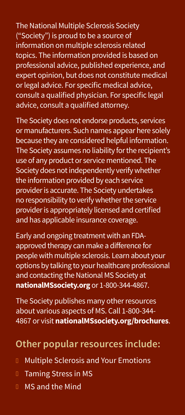The National Multiple Sclerosis Society ("Society") is proud to be a source of information on multiple sclerosis related topics. The information provided is based on professional advice, published experience, and expert opinion, but does not constitute medical or legal advice. For specific medical advice, consult a qualified physician. For specific legal advice, consult a qualified attorney.

The Society does not endorse products, services or manufacturers. Such names appear here solely because they are considered helpful information. The Society assumes no liability for the recipient's use of any product or service mentioned. The Society does not independently verify whether the information provided by each service provider is accurate. The Society undertakes no responsibility to verify whether the service provider is appropriately licensed and certified and has applicable insurance coverage.

Early and ongoing treatment with an FDAapproved therapy can make a difference for people with multiple sclerosis. Learn about your options by talking to your healthcare professional and contacting the National MS Society at **nationalMSsociety.org** or 1-800-344-4867.

The Society publishes many other resources about various aspects of MS. Call 1-800-344-4867 or visit **nationalMSsociety.org/brochures**.

## **Other popular resources include:**

- <sup>n</sup> Multiple Sclerosis and Your Emotions
- <sup>n</sup> Taming Stress in MS
- <sup>n</sup> MS and the Mind